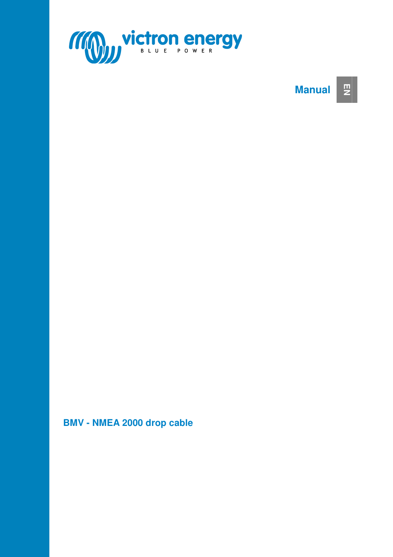

#### **Manual EN**

#### **BMV - NMEA 2000 drop cable**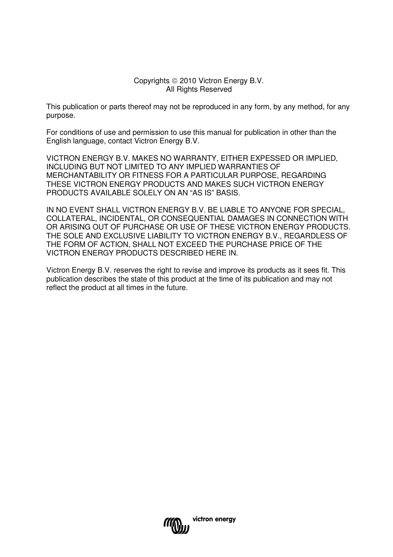#### Copyrights © 2010 Victron Energy B.V. All Rights Reserved

This publication or parts thereof may not be reproduced in any form, by any method, for any purpose.

For conditions of use and permission to use this manual for publication in other than the English language, contact Victron Energy B.V.

VICTRON ENERGY B.V. MAKES NO WARRANTY, EITHER EXPESSED OR IMPLIED, INCLUDING BUT NOT LIMITED TO ANY IMPLIED WARRANTIES OF MERCHANTABILITY OR FITNESS FOR A PARTICULAR PURPOSE, REGARDING THESE VICTRON ENERGY PRODUCTS AND MAKES SUCH VICTRON ENERGY PRODUCTS AVAILABLE SOLELY ON AN "AS IS" BASIS.

IN NO EVENT SHALL VICTRON ENERGY B.V. BE LIABLE TO ANYONE FOR SPECIAL, COLLATERAL, INCIDENTAL, OR CONSEQUENTIAL DAMAGES IN CONNECTION WITH OR ARISING OUT OF PURCHASE OR USE OF THESE VICTRON ENERGY PRODUCTS. THE SOLE AND EXCLUSIVE LIABILITY TO VICTRON ENERGY B.V., REGARDLESS OF THE FORM OF ACTION, SHALL NOT EXCEED THE PURCHASE PRICE OF THE VICTRON ENERGY PRODUCTS DESCRIBED HERE IN.

Victron Energy B.V. reserves the right to revise and improve its products as it sees fit. This publication describes the state of this product at the time of its publication and may not reflect the product at all times in the future.

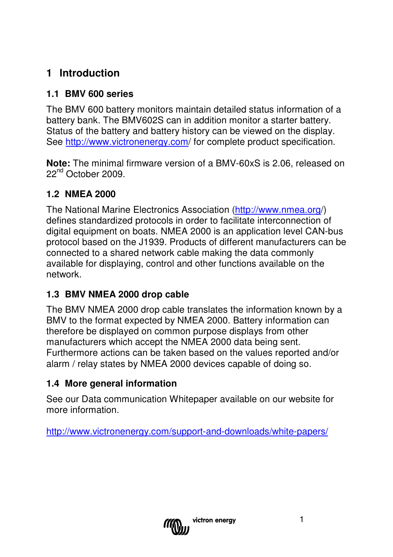## **1 Introduction**

#### **1.1 BMV 600 series**

The BMV 600 battery monitors maintain detailed status information of a battery bank. The BMV602S can in addition monitor a starter battery. Status of the battery and battery history can be viewed on the display. See http://www.victronenergy.com/ for complete product specification.

**Note:** The minimal firmware version of a BMV-60xS is 2.06, released on 22<sup>nd</sup> October 2009.

## **1.2 NMEA 2000**

The National Marine Electronics Association (http://www.nmea.org/) defines standardized protocols in order to facilitate interconnection of digital equipment on boats. NMEA 2000 is an application level CAN-bus protocol based on the J1939. Products of different manufacturers can be connected to a shared network cable making the data commonly available for displaying, control and other functions available on the network.

#### **1.3 BMV NMEA 2000 drop cable**

The BMV NMEA 2000 drop cable translates the information known by a BMV to the format expected by NMEA 2000. Battery information can therefore be displayed on common purpose displays from other manufacturers which accept the NMEA 2000 data being sent. Furthermore actions can be taken based on the values reported and/or alarm / relay states by NMEA 2000 devices capable of doing so.

#### **1.4 More general information**

See our Data communication Whitepaper available on our website for more information.

http://www.victronenergy.com/support-and-downloads/white-papers/

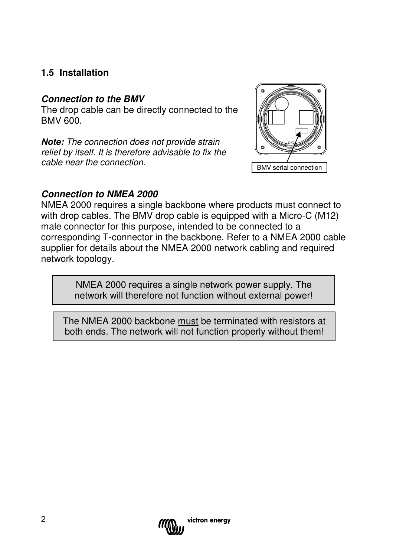#### **1.5 Installation**

#### **Connection to the BMV**

The drop cable can be directly connected to the BMV 600.

**Note:** The connection does not provide strain relief by itself. It is therefore advisable to fix the cable near the connection.



#### **Connection to NMEA 2000**

NMEA 2000 requires a single backbone where products must connect to with drop cables. The BMV drop cable is equipped with a Micro-C (M12) male connector for this purpose, intended to be connected to a corresponding T-connector in the backbone. Refer to a NMEA 2000 cable supplier for details about the NMEA 2000 network cabling and required network topology.

> NMEA 2000 requires a single network power supply. The network will therefore not function without external power!

The NMEA 2000 backbone must be terminated with resistors at both ends. The network will not function properly without them!

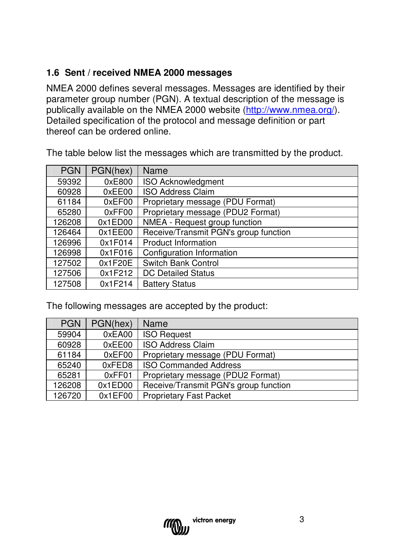## **1.6 Sent / received NMEA 2000 messages**

NMEA 2000 defines several messages. Messages are identified by their parameter group number (PGN). A textual description of the message is publically available on the NMEA 2000 website (http://www.nmea.org/). Detailed specification of the protocol and message definition or part thereof can be ordered online.

PGN | PGN(hex) | Name 59392 0xE800 ISO Acknowledgment 60928 | 0xEE00 | ISO Address Claim 61184 | 0xEF00 | Proprietary message (PDU Format) 65280 0xFF00 Proprietary message (PDU2 Format)<br>26208 0x1ED00 NMEA - Request group function 126208 0x1ED00 NMEA - Request group function 126464 0x1EE00 Receive/Transmit PGN's group function 126996 0x1F014 Product Information 126998 | 0x1F016 | Configuration Information 127502 0x1F20E Switch Bank Control 127506 0x1F212 DC Detailed Status 127508 | 0x1F214 | Battery Status

The table below list the messages which are transmitted by the product.

The following messages are accepted by the product:

| <b>PGN</b> | PGN(hex)     | Name                                  |  |
|------------|--------------|---------------------------------------|--|
| 59904      | 0xEA00       | <b>ISO Request</b>                    |  |
| 60928      | 0xEE00       | <b>ISO Address Claim</b>              |  |
| 61184      | 0xEF00       | Proprietary message (PDU Format)      |  |
| 65240      | $0x$ FED $8$ | <b>ISO Commanded Address</b>          |  |
| 65281      | 0xFF01       | Proprietary message (PDU2 Format)     |  |
| 126208     | 0x1EDOO      | Receive/Transmit PGN's group function |  |
| 126720     | 0x1EF00      | <b>Proprietary Fast Packet</b>        |  |

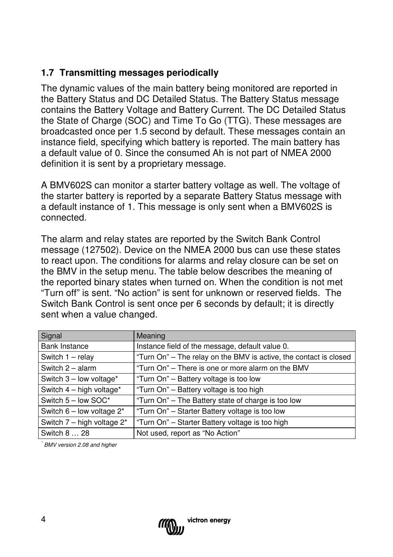#### **1.7 Transmitting messages periodically**

The dynamic values of the main battery being monitored are reported in the Battery Status and DC Detailed Status. The Battery Status message contains the Battery Voltage and Battery Current. The DC Detailed Status the State of Charge (SOC) and Time To Go (TTG). These messages are broadcasted once per 1.5 second by default. These messages contain an instance field, specifying which battery is reported. The main battery has a default value of 0. Since the consumed Ah is not part of NMEA 2000 definition it is sent by a proprietary message.

A BMV602S can monitor a starter battery voltage as well. The voltage of the starter battery is reported by a separate Battery Status message with a default instance of 1. This message is only sent when a BMV602S is connected.

The alarm and relay states are reported by the Switch Bank Control message (127502). Device on the NMEA 2000 bus can use these states to react upon. The conditions for alarms and relay closure can be set on the BMV in the setup menu. The table below describes the meaning of the reported binary states when turned on. When the condition is not met "Turn off" is sent. "No action" is sent for unknown or reserved fields. The Switch Bank Control is sent once per 6 seconds by default; it is directly sent when a value changed.

| Signal                          | Meaning                                                           |
|---------------------------------|-------------------------------------------------------------------|
| <b>Bank Instance</b>            | Instance field of the message, default value 0.                   |
| Switch $1 -$ relay              | "Turn On" - The relay on the BMV is active, the contact is closed |
| Switch $2 -$ alarm              | "Turn On" - There is one or more alarm on the BMV                 |
| Switch $3$ – low voltage*       | "Turn On" – Battery voltage is too low                            |
| Switch 4 - high voltage*        | "Turn On" - Battery voltage is too high                           |
| Switch 5 - low SOC*             | "Turn On" – The Battery state of charge is too low                |
| Switch $6$ – low voltage $2^*$  | "Turn On" - Starter Battery voltage is too low                    |
| Switch $7 -$ high voltage $2^*$ | "Turn On" - Starter Battery voltage is too high                   |
| Switch 8  28                    | Not used, report as "No Action"                                   |

\* BMV version 2.08 and higher

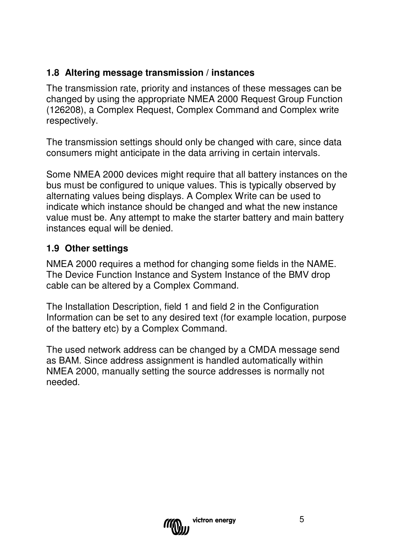#### **1.8 Altering message transmission / instances**

The transmission rate, priority and instances of these messages can be changed by using the appropriate NMEA 2000 Request Group Function (126208), a Complex Request, Complex Command and Complex write respectively.

The transmission settings should only be changed with care, since data consumers might anticipate in the data arriving in certain intervals.

Some NMEA 2000 devices might require that all battery instances on the bus must be configured to unique values. This is typically observed by alternating values being displays. A Complex Write can be used to indicate which instance should be changed and what the new instance value must be. Any attempt to make the starter battery and main battery instances equal will be denied.

#### **1.9 Other settings**

NMEA 2000 requires a method for changing some fields in the NAME. The Device Function Instance and System Instance of the BMV drop cable can be altered by a Complex Command.

The Installation Description, field 1 and field 2 in the Configuration Information can be set to any desired text (for example location, purpose of the battery etc) by a Complex Command.

The used network address can be changed by a CMDA message send as BAM. Since address assignment is handled automatically within NMEA 2000, manually setting the source addresses is normally not needed.

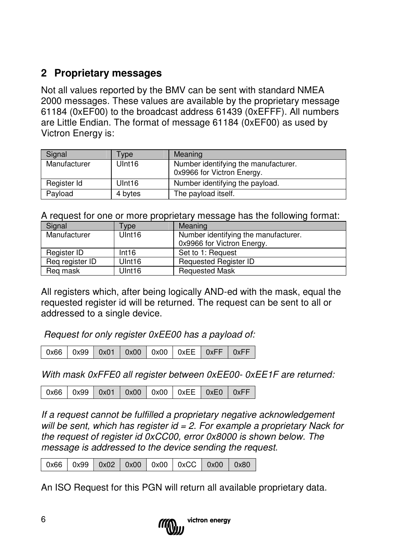## **2 Proprietary messages**

Not all values reported by the BMV can be sent with standard NMEA 2000 messages. These values are available by the proprietary message 61184 (0xEF00) to the broadcast address 61439 (0xEFFF). All numbers are Little Endian. The format of message 61184 (0xEF00) as used by Victron Energy is:

| Signal       | Type               | Meaning                                                            |
|--------------|--------------------|--------------------------------------------------------------------|
| Manufacturer | Ulnt <sub>16</sub> | Number identifying the manufacturer.<br>0x9966 for Victron Energy. |
| Register Id  | Ulnt <sub>16</sub> | Number identifying the payload.                                    |
| Payload      | 4 bytes            | The payload itself.                                                |

A request for one or more proprietary message has the following format:

| Signal                             | <b>vpe</b>         | Meaning                              |
|------------------------------------|--------------------|--------------------------------------|
| Manufacturer<br>Ulnt <sub>16</sub> |                    | Number identifying the manufacturer. |
|                                    |                    | 0x9966 for Victron Energy.           |
| Register ID                        | Int16              | Set to 1: Request                    |
| Reg register ID                    | Ulnt <sub>16</sub> | <b>Requested Register ID</b>         |
| Reg mask                           | Ulnt <sub>16</sub> | <b>Requested Mask</b>                |

All registers which, after being logically AND-ed with the mask, equal the requested register id will be returned. The request can be sent to all or addressed to a single device.

Request for only register 0xEE00 has a payload of:

|  |  |  |  |  | 0x66   0x99   0x01   0x00   0x00   0xEE   0xFF   0xFF |  |  |
|--|--|--|--|--|-------------------------------------------------------|--|--|
|--|--|--|--|--|-------------------------------------------------------|--|--|

With mask 0xFFE0 all register between 0xEE00-0xEE1F are returned:

| 0x66   0x99   0x01   0x00   0x00   0xEE   0xE0   0xFF |  |  |  |  |  |  |
|-------------------------------------------------------|--|--|--|--|--|--|
|-------------------------------------------------------|--|--|--|--|--|--|

If a request cannot be fulfilled a proprietary negative acknowledgement will be sent, which has register  $id = 2$ . For example a proprietary Nack for the request of register id 0xCC00, error 0x8000 is shown below. The message is addressed to the device sending the request.

| 0x66   0x99   0x02   0x00   0x00   0xCC   0x00   0x80 |  |
|-------------------------------------------------------|--|
|-------------------------------------------------------|--|

An ISO Request for this PGN will return all available proprietary data.

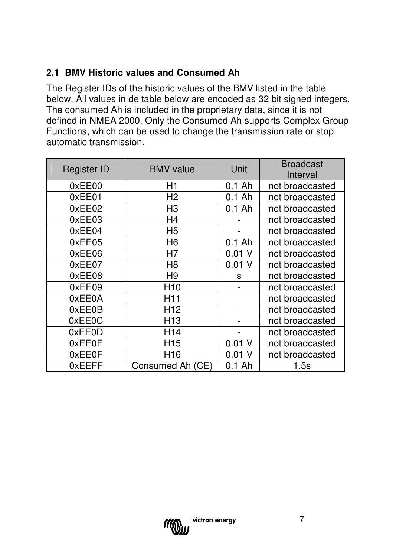## **2.1 BMV Historic values and Consumed Ah**

The Register IDs of the historic values of the BMV listed in the table below. All values in de table below are encoded as 32 bit signed integers. The consumed Ah is included in the proprietary data, since it is not defined in NMEA 2000. Only the Consumed Ah supports Complex Group Functions, which can be used to change the transmission rate or stop automatic transmission.

| Register ID | <b>BMV</b> value | Unit     | <b>Broadcast</b><br>Interval |  |
|-------------|------------------|----------|------------------------------|--|
| 0xEE00      | H1               | $0.1$ Ah | not broadcasted              |  |
| 0xEE01      | H <sub>2</sub>   | $0.1$ Ah | not broadcasted              |  |
| 0xEE02      | H3               | $0.1$ Ah | not broadcasted              |  |
| 0xEE03      | H4               |          | not broadcasted              |  |
| 0xEE04      | H <sub>5</sub>   |          | not broadcasted              |  |
| 0xEE05      | H <sub>6</sub>   | $0.1$ Ah | not broadcasted              |  |
| 0xEE06      | H7               | 0.01     | not broadcasted              |  |
| 0xEE07      | H8               | $0.01$ V | not broadcasted              |  |
| 0xEE08      | H <sub>9</sub>   | S        | not broadcasted              |  |
| 0xEE09      | H <sub>10</sub>  |          | not broadcasted              |  |
| 0xEE0A      | H11              |          | not broadcasted              |  |
| 0xEE0B      | H <sub>12</sub>  |          | not broadcasted              |  |
| 0xEE0C      | H <sub>13</sub>  |          | not broadcasted              |  |
| 0xEE0D      | H <sub>14</sub>  |          | not broadcasted              |  |
| 0xEE0E      | H <sub>15</sub>  | $0.01$ V | not broadcasted              |  |
| 0xEE0F      | H16              | 0.01     | not broadcasted              |  |
| 0xEEFF      | Consumed Ah (CE) | $0.1$ Ah | 1.5s                         |  |

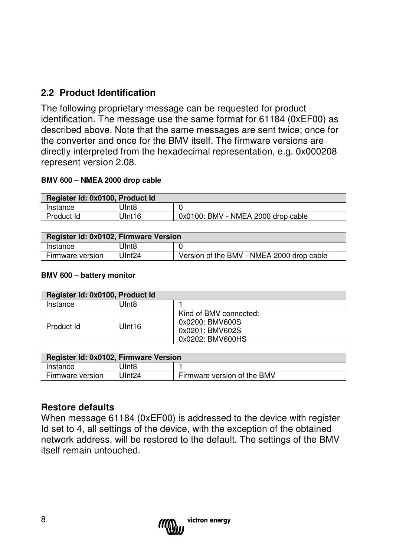## **2.2 Product Identification**

The following proprietary message can be requested for product identification. The message use the same format for 61184 (0xEF00) as described above. Note that the same messages are sent twice; once for the converter and once for the BMV itself. The firmware versions are directly interpreted from the hexadecimal representation, e.g. 0x000208 represent version 2.08.

#### **BMV 600 – NMEA 2000 drop cable**

| Register Id: 0x0100, Product Id |                   |                                    |  |  |  |
|---------------------------------|-------------------|------------------------------------|--|--|--|
| Instance                        | Ulnt <sub>8</sub> |                                    |  |  |  |
| Product Id                      | UInt16            | 0x0100: BMV - NMEA 2000 drop cable |  |  |  |

| Register Id: 0x0102, Firmware Version |                   |                                           |  |  |
|---------------------------------------|-------------------|-------------------------------------------|--|--|
| Instance                              | Ulnt <sub>8</sub> |                                           |  |  |
| Firmware version                      | Ulnt24            | Version of the BMV - NMEA 2000 drop cable |  |  |

#### **BMV 600 – battery monitor**

| Register Id: 0x0100, Product Id |        |                                                                                  |  |
|---------------------------------|--------|----------------------------------------------------------------------------------|--|
| Instance                        | JInt8  |                                                                                  |  |
| Product Id                      | UInt16 | Kind of BMV connected:<br>0x0200: BMV600S<br>0x0201: BMV602S<br>0x0202: BMV600HS |  |

| Register Id: 0x0102, Firmware Version |                    |                             |  |  |
|---------------------------------------|--------------------|-----------------------------|--|--|
| Instance                              | Ulnt <sub>8</sub>  |                             |  |  |
| Firmware version                      | UInt <sub>24</sub> | Firmware version of the BMV |  |  |

#### **Restore defaults**

When message 61184 (0xEF00) is addressed to the device with register Id set to 4, all settings of the device, with the exception of the obtained network address, will be restored to the default. The settings of the BMV itself remain untouched.

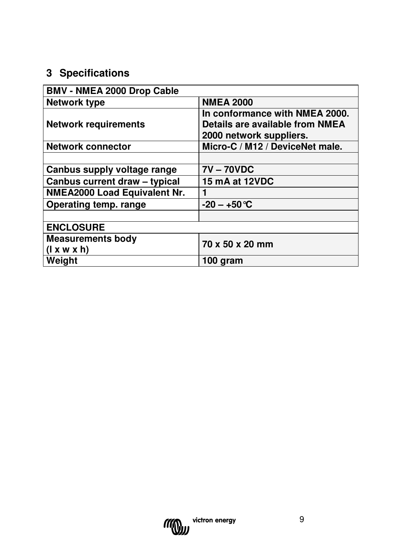# **3 Specifications**

| <b>BMV - NMEA 2000 Drop Cable</b>   |                                 |
|-------------------------------------|---------------------------------|
| <b>Network type</b>                 | <b>NMEA 2000</b>                |
|                                     | In conformance with NMEA 2000.  |
| <b>Network requirements</b>         | Details are available from NMEA |
|                                     | 2000 network suppliers.         |
| <b>Network connector</b>            | Micro-C / M12 / DeviceNet male. |
|                                     |                                 |
| Canbus supply voltage range         | <b>7V-70VDC</b>                 |
| Canbus current draw - typical       | 15 mA at 12VDC                  |
| <b>NMEA2000 Load Equivalent Nr.</b> | 1                               |
| Operating temp. range               | $-20 - +50$ °C                  |
|                                     |                                 |
| <b>ENCLOSURE</b>                    |                                 |
| <b>Measurements body</b>            | 70 x 50 x 20 mm                 |
| (l x w x h)                         |                                 |
| Weight                              | 100 gram                        |

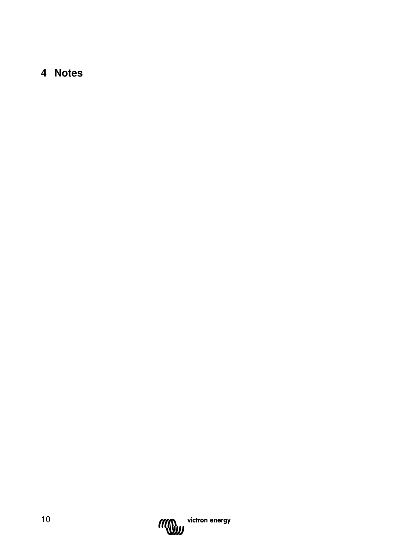## **4 Notes**